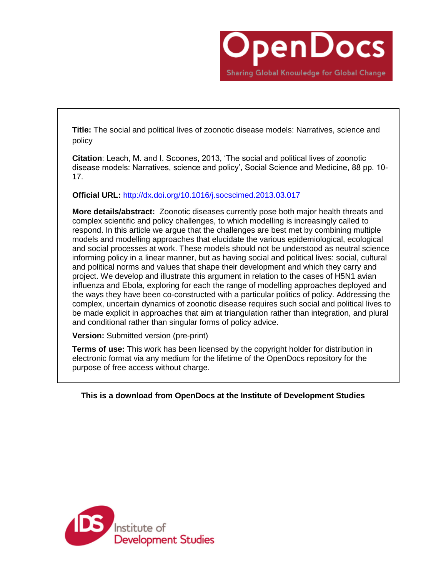

**Title:** The social and political lives of zoonotic disease models: Narratives, science and policy

**Citation**: Leach, M. and I. Scoones, 2013, 'The social and political lives of zoonotic disease models: Narratives, science and policy', Social Science and Medicine, 88 pp. 10- 17.

**Official URL:** <http://dx.doi.org/10.1016/j.socscimed.2013.03.017>

**More details/abstract:** Zoonotic diseases currently pose both major health threats and complex scientific and policy challenges, to which modelling is increasingly called to respond. In this article we argue that the challenges are best met by combining multiple models and modelling approaches that elucidate the various epidemiological, ecological and social processes at work. These models should not be understood as neutral science informing policy in a linear manner, but as having social and political lives: social, cultural and political norms and values that shape their development and which they carry and project. We develop and illustrate this argument in relation to the cases of H5N1 avian influenza and Ebola, exploring for each the range of modelling approaches deployed and the ways they have been co-constructed with a particular politics of policy. Addressing the complex, uncertain dynamics of zoonotic disease requires such social and political lives to be made explicit in approaches that aim at triangulation rather than integration, and plural and conditional rather than singular forms of policy advice.

**Version:** Submitted version (pre-print)

**Terms of use:** This work has been licensed by the copyright holder for distribution in electronic format via any medium for the lifetime of the OpenDocs repository for the purpose of free access without charge.

**This is a download from OpenDocs at the Institute of Development Studies**

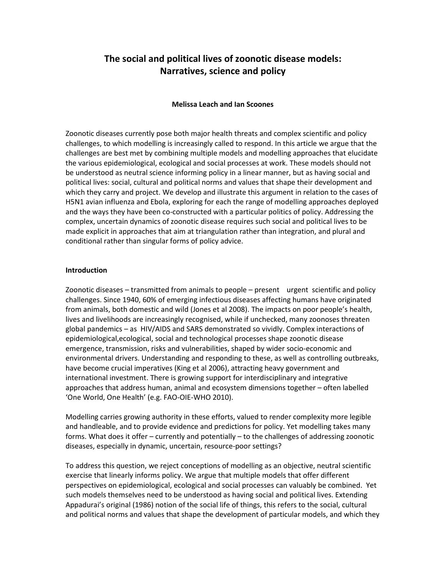# **The social and political lives of zoonotic disease models: Narratives, science and policy**

### **Melissa Leach and Ian Scoones**

Zoonotic diseases currently pose both major health threats and complex scientific and policy challenges, to which modelling is increasingly called to respond. In this article we argue that the challenges are best met by combining multiple models and modelling approaches that elucidate the various epidemiological, ecological and social processes at work. These models should not be understood as neutral science informing policy in a linear manner, but as having social and political lives: social, cultural and political norms and values that shape their development and which they carry and project. We develop and illustrate this argument in relation to the cases of H5N1 avian influenza and Ebola, exploring for each the range of modelling approaches deployed and the ways they have been co-constructed with a particular politics of policy. Addressing the complex, uncertain dynamics of zoonotic disease requires such social and political lives to be made explicit in approaches that aim at triangulation rather than integration, and plural and conditional rather than singular forms of policy advice.

#### **Introduction**

Zoonotic diseases – transmitted from animals to people – present urgent scientific and policy challenges. Since 1940, 60% of emerging infectious diseases affecting humans have originated from animals, both domestic and wild (Jones et al 2008). The impacts on poor people's health, lives and livelihoods are increasingly recognised, while if unchecked, many zoonoses threaten global pandemics – as HIV/AIDS and SARS demonstrated so vividly. Complex interactions of epidemiological,ecological, social and technological processes shape zoonotic disease emergence, transmission, risks and vulnerabilities, shaped by wider socio-economic and environmental drivers. Understanding and responding to these, as well as controlling outbreaks, have become crucial imperatives (King et al 2006), attracting heavy government and international investment. There is growing support for interdisciplinary and integrative approaches that address human, animal and ecosystem dimensions together – often labelled 'One World, One Health' (e.g. FAO-OIE-WHO 2010).

Modelling carries growing authority in these efforts, valued to render complexity more legible and handleable, and to provide evidence and predictions for policy. Yet modelling takes many forms. What does it offer – currently and potentially – to the challenges of addressing zoonotic diseases, especially in dynamic, uncertain, resource-poor settings?

To address this question, we reject conceptions of modelling as an objective, neutral scientific exercise that linearly informs policy. We argue that multiple models that offer different perspectives on epidemiological, ecological and social processes can valuably be combined. Yet such models themselves need to be understood as having social and political lives. Extending Appadurai's original (1986) notion of the social life of things, this refers to the social, cultural and political norms and values that shape the development of particular models, and which they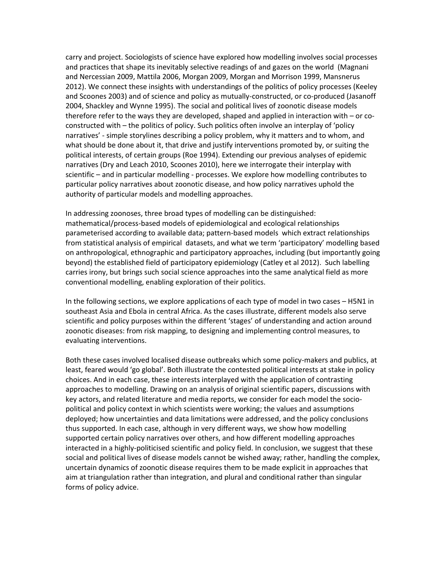carry and project. Sociologists of science have explored how modelling involves social processes and practices that shape its inevitably selective readings of and gazes on the world (Magnani and Nercessian 2009, Mattila 2006, Morgan 2009, Morgan and Morrison 1999, Mansnerus 2012). We connect these insights with understandings of the politics of policy processes (Keeley and Scoones 2003) and of science and policy as mutually-constructed, or co-produced (Jasanoff 2004, Shackley and Wynne 1995). The social and political lives of zoonotic disease models therefore refer to the ways they are developed, shaped and applied in interaction with – or coconstructed with – the politics of policy. Such politics often involve an interplay of 'policy narratives' - simple storylines describing a policy problem, why it matters and to whom, and what should be done about it, that drive and justify interventions promoted by, or suiting the political interests, of certain groups (Roe 1994). Extending our previous analyses of epidemic narratives (Dry and Leach 2010, Scoones 2010), here we interrogate their interplay with scientific – and in particular modelling - processes. We explore how modelling contributes to particular policy narratives about zoonotic disease, and how policy narratives uphold the authority of particular models and modelling approaches.

In addressing zoonoses, three broad types of modelling can be distinguished: mathematical/process-based models of epidemiological and ecological relationships parameterised according to available data; pattern-based models which extract relationships from statistical analysis of empirical datasets, and what we term 'participatory' modelling based on anthropological, ethnographic and participatory approaches, including (but importantly going beyond) the established field of participatory epidemiology (Catley et al 2012). Such labelling carries irony, but brings such social science approaches into the same analytical field as more conventional modelling, enabling exploration of their politics.

In the following sections, we explore applications of each type of model in two cases – H5N1 in southeast Asia and Ebola in central Africa. As the cases illustrate, different models also serve scientific and policy purposes within the different 'stages' of understanding and action around zoonotic diseases: from risk mapping, to designing and implementing control measures, to evaluating interventions.

Both these cases involved localised disease outbreaks which some policy-makers and publics, at least, feared would 'go global'. Both illustrate the contested political interests at stake in policy choices. And in each case, these interests interplayed with the application of contrasting approaches to modelling. Drawing on an analysis of original scientific papers, discussions with key actors, and related literature and media reports, we consider for each model the sociopolitical and policy context in which scientists were working; the values and assumptions deployed; how uncertainties and data limitations were addressed, and the policy conclusions thus supported. In each case, although in very different ways, we show how modelling supported certain policy narratives over others, and how different modelling approaches interacted in a highly-politicised scientific and policy field. In conclusion, we suggest that these social and political lives of disease models cannot be wished away; rather, handling the complex, uncertain dynamics of zoonotic disease requires them to be made explicit in approaches that aim at triangulation rather than integration, and plural and conditional rather than singular forms of policy advice.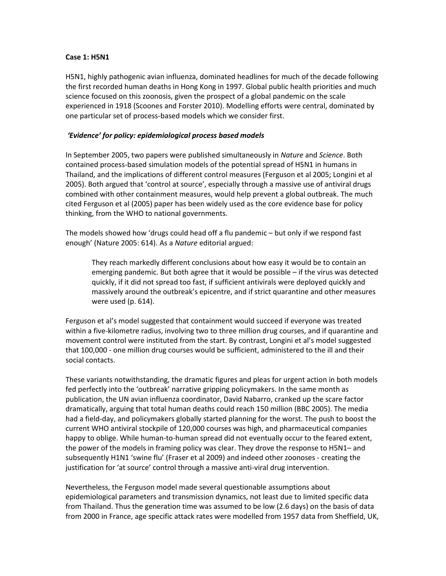#### **Case 1: H5N1**

H5N1, highly pathogenic avian influenza, dominated headlines for much of the decade following the first recorded human deaths in Hong Kong in 1997. Global public health priorities and much science focused on this zoonosis, given the prospect of a global pandemic on the scale experienced in 1918 (Scoones and Forster 2010). Modelling efforts were central, dominated by one particular set of process-based models which we consider first.

# *'Evidence' for policy: epidemiological process based models*

In September 2005, two papers were published simultaneously in *Nature* and *Science*. Both contained process-based simulation models of the potential spread of H5N1 in humans in Thailand, and the implications of different control measures (Ferguson et al 2005; Longini et al 2005). Both argued that 'control at source', especially through a massive use of antiviral drugs combined with other containment measures, would help prevent a global outbreak. The much cited Ferguson et al (2005) paper has been widely used as the core evidence base for policy thinking, from the WHO to national governments.

The models showed how 'drugs could head off a flu pandemic – but only if we respond fast enough' (Nature 2005: 614). As a *Nature* editorial argued:

They reach markedly different conclusions about how easy it would be to contain an emerging pandemic. But both agree that it would be possible – if the virus was detected quickly, if it did not spread too fast, if sufficient antivirals were deployed quickly and massively around the outbreak's epicentre, and if strict quarantine and other measures were used (p. 614).

Ferguson et al's model suggested that containment would succeed if everyone was treated within a five-kilometre radius, involving two to three million drug courses, and if quarantine and movement control were instituted from the start. By contrast, Longini et al's model suggested that 100,000 - one million drug courses would be sufficient, administered to the ill and their social contacts.

These variants notwithstanding, the dramatic figures and pleas for urgent action in both models fed perfectly into the 'outbreak' narrative gripping policymakers. In the same month as publication, the UN avian influenza coordinator, David Nabarro, cranked up the scare factor dramatically, arguing that total human deaths could reach 150 million (BBC 2005). The media had a field-day, and policymakers globally started planning for the worst. The push to boost the current WHO antiviral stockpile of 120,000 courses was high, and pharmaceutical companies happy to oblige. While human-to-human spread did not eventually occur to the feared extent, the power of the models in framing policy was clear. They drove the response to H5N1– and subsequently H1N1 'swine flu' (Fraser et al 2009) and indeed other zoonoses - creating the justification for 'at source' control through a massive anti-viral drug intervention.

Nevertheless, the Ferguson model made several questionable assumptions about epidemiological parameters and transmission dynamics, not least due to limited specific data from Thailand. Thus the generation time was assumed to be low (2.6 days) on the basis of data from 2000 in France, age specific attack rates were modelled from 1957 data from Sheffield, UK,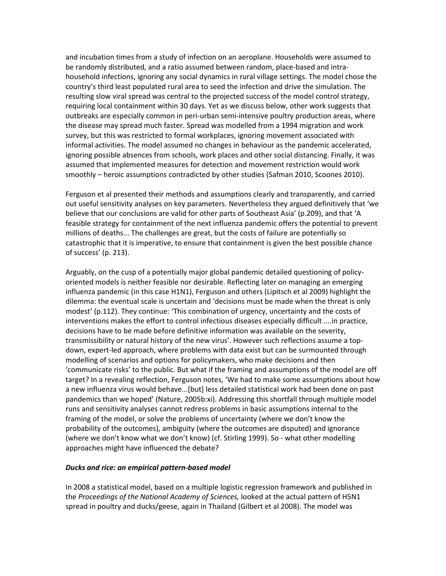and incubation times from a study of infection on an aeroplane. Households were assumed to be randomly distributed, and a ratio assumed between random, place-based and intrahousehold infections, ignoring any social dynamics in rural village settings. The model chose the country's third least populated rural area to seed the infection and drive the simulation. The resulting slow viral spread was central to the projected success of the model control strategy, requiring local containment within 30 days. Yet as we discuss below, other work suggests that outbreaks are especially common in peri-urban semi-intensive poultry production areas, where the disease may spread much faster. Spread was modelled from a 1994 migration and work survey, but this was restricted to formal workplaces, ignoring movement associated with informal activities. The model assumed no changes in behaviour as the pandemic accelerated, ignoring possible absences from schools, work places and other social distancing. Finally, it was assumed that implemented measures for detection and movement restriction would work smoothly – heroic assumptions contradicted by other studies (Safman 2010, Scoones 2010).

Ferguson et al presented their methods and assumptions clearly and transparently, and carried out useful sensitivity analyses on key parameters. Nevertheless they argued definitively that 'we believe that our conclusions are valid for other parts of Southeast Asia' (p.209), and that 'A feasible strategy for containment of the next influenza pandemic offers the potential to prevent millions of deaths... The challenges are great, but the costs of failure are potentially so catastrophic that it is imperative, to ensure that containment is given the best possible chance of success' (p. 213).

Arguably, on the cusp of a potentially major global pandemic detailed questioning of policyoriented models is neither feasible nor desirable. Reflecting later on managing an emerging influenza pandemic (in this case H1N1), Ferguson and others (Lipitsch et al 2009) highlight the dilemma: the eventual scale is uncertain and 'decisions must be made when the threat is only modest' (p.112). They continue: 'This combination of urgency, uncertainty and the costs of interventions makes the effort to control infectious diseases especially difficult ....in practice, decisions have to be made before definitive information was available on the severity, transmissibility or natural history of the new virus'. However such reflections assume a topdown, expert-led approach, where problems with data exist but can be surmounted through modelling of scenarios and options for policymakers, who make decisions and then 'communicate risks' to the public. But what if the framing and assumptions of the model are off target? In a revealing reflection, Ferguson notes, 'We had to make some assumptions about how a new influenza virus would behave...[but] less detailed statistical work had been done on past pandemics than we hoped' (Nature, 2005b:xi). Addressing this shortfall through multiple model runs and sensitivity analyses cannot redress problems in basic assumptions internal to the framing of the model, or solve the problems of uncertainty (where we don't know the probability of the outcomes), ambiguity (where the outcomes are disputed) and ignorance (where we don't know what we don't know) (cf. Stirling 1999). So - what other modelling approaches might have influenced the debate?

#### *Ducks and rice: an empirical pattern-based model*

In 2008 a statistical model, based on a multiple logistic regression framework and published in the *Proceedings of the National Academy of Sciences,* looked at the actual pattern of H5N1 spread in poultry and ducks/geese, again in Thailand (Gilbert et al 2008). The model was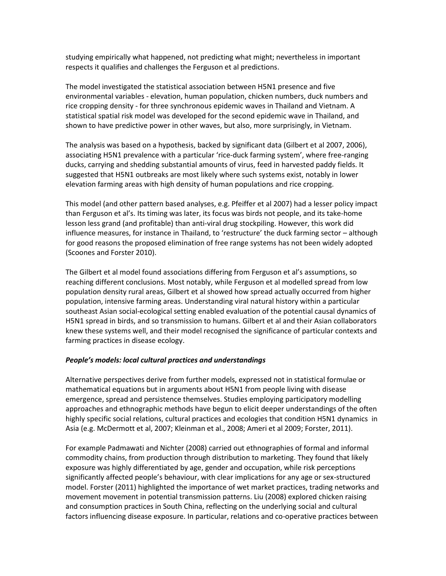studying empirically what happened, not predicting what might; nevertheless in important respects it qualifies and challenges the Ferguson et al predictions.

The model investigated the statistical association between H5N1 presence and five environmental variables - elevation, human population, chicken numbers, duck numbers and rice cropping density - for three synchronous epidemic waves in Thailand and Vietnam. A statistical spatial risk model was developed for the second epidemic wave in Thailand, and shown to have predictive power in other waves, but also, more surprisingly, in Vietnam.

The analysis was based on a hypothesis, backed by significant data (Gilbert et al 2007, 2006), associating H5N1 prevalence with a particular 'rice-duck farming system', where free-ranging ducks, carrying and shedding substantial amounts of virus, feed in harvested paddy fields. It suggested that H5N1 outbreaks are most likely where such systems exist, notably in lower elevation farming areas with high density of human populations and rice cropping.

This model (and other pattern based analyses, e.g. Pfeiffer et al 2007) had a lesser policy impact than Ferguson et al's. Its timing was later, its focus was birds not people, and its take-home lesson less grand (and profitable) than anti-viral drug stockpiling. However, this work did influence measures, for instance in Thailand, to 'restructure' the duck farming sector – although for good reasons the proposed elimination of free range systems has not been widely adopted (Scoones and Forster 2010).

The Gilbert et al model found associations differing from Ferguson et al's assumptions, so reaching different conclusions. Most notably, while Ferguson et al modelled spread from low population density rural areas, Gilbert et al showed how spread actually occurred from higher population, intensive farming areas. Understanding viral natural history within a particular southeast Asian social-ecological setting enabled evaluation of the potential causal dynamics of H5N1 spread in birds, and so transmission to humans. Gilbert et al and their Asian collaborators knew these systems well, and their model recognised the significance of particular contexts and farming practices in disease ecology.

# *People's models: local cultural practices and understandings*

Alternative perspectives derive from further models, expressed not in statistical formulae or mathematical equations but in arguments about H5N1 from people living with disease emergence, spread and persistence themselves. Studies employing participatory modelling approaches and ethnographic methods have begun to elicit deeper understandings of the often highly specific social relations, cultural practices and ecologies that condition H5N1 dynamics in Asia (e.g. McDermott et al, 2007; Kleinman et al., 2008; Ameri et al 2009; Forster, 2011).

For example Padmawati and Nichter (2008) carried out ethnographies of formal and informal commodity chains, from production through distribution to marketing. They found that likely exposure was highly differentiated by age, gender and occupation, while risk perceptions significantly affected people's behaviour, with clear implications for any age or sex-structured model. Forster (2011) highlighted the importance of wet market practices, trading networks and movement movement in potential transmission patterns. Liu (2008) explored chicken raising and consumption practices in South China, reflecting on the underlying social and cultural factors influencing disease exposure. In particular, relations and co-operative practices between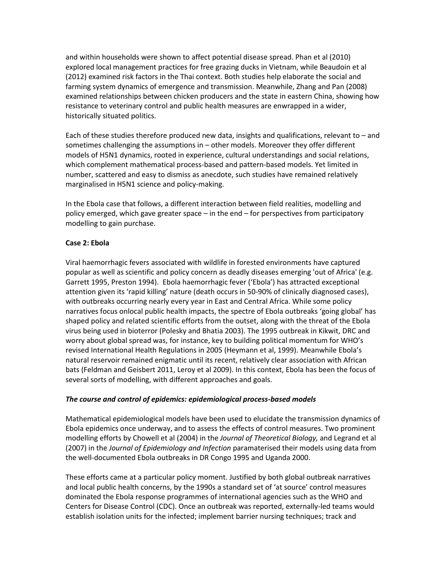and within households were shown to affect potential disease spread. Phan et al (2010) explored local management practices for free grazing ducks in Vietnam, while Beaudoin et al (2012) examined risk factors in the Thai context. Both studies help elaborate the social and farming system dynamics of emergence and transmission. Meanwhile, Zhang and Pan (2008) examined relationships between chicken producers and the state in eastern China, showing how resistance to veterinary control and public health measures are enwrapped in a wider, historically situated politics.

Each of these studies therefore produced new data, insights and qualifications, relevant to – and sometimes challenging the assumptions in – other models. Moreover they offer different models of H5N1 dynamics, rooted in experience, cultural understandings and social relations, which complement mathematical process-based and pattern-based models. Yet limited in number, scattered and easy to dismiss as anecdote, such studies have remained relatively marginalised in H5N1 science and policy-making.

In the Ebola case that follows, a different interaction between field realities, modelling and policy emerged, which gave greater space – in the end – for perspectives from participatory modelling to gain purchase.

### **Case 2: Ebola**

Viral haemorrhagic fevers associated with wildlife in forested environments have captured popular as well as scientific and policy concern as deadly diseases emerging 'out of Africa' (e.g. Garrett 1995, Preston 1994). Ebola haemorrhagic fever ('Ebola') has attracted exceptional attention given its 'rapid killing' nature (death occurs in 50-90% of clinically diagnosed cases), with outbreaks occurring nearly every year in East and Central Africa. While some policy narratives focus onlocal public health impacts, the spectre of Ebola outbreaks 'going global' has shaped policy and related scientific efforts from the outset, along with the threat of the Ebola virus being used in bioterror (Polesky and Bhatia 2003). The 1995 outbreak in Kikwit, DRC and worry about global spread was, for instance, key to building political momentum for WHO's revised International Health Regulations in 2005 (Heymann et al, 1999). Meanwhile Ebola's natural reservoir remained enigmatic until its recent, relatively clear association with African bats (Feldman and Geisbert 2011, Leroy et al 2009). In this context, Ebola has been the focus of several sorts of modelling, with different approaches and goals.

# *The course and control of epidemics: epidemiological process-based models*

Mathematical epidemiological models have been used to elucidate the transmission dynamics of Ebola epidemics once underway, and to assess the effects of control measures. Two prominent modelling efforts by Chowell et al (2004) in the *Journal of Theoretical Biology,* and Legrand et al (2007) in the *Journal of Epidemiology and Infection* paramaterised their models using data from the well-documented Ebola outbreaks in DR Congo 1995 and Uganda 2000.

These efforts came at a particular policy moment. Justified by both global outbreak narratives and local public health concerns, by the 1990s a standard set of 'at source' control measures dominated the Ebola response programmes of international agencies such as the WHO and Centers for Disease Control (CDC). Once an outbreak was reported, externally-led teams would establish isolation units for the infected; implement barrier nursing techniques; track and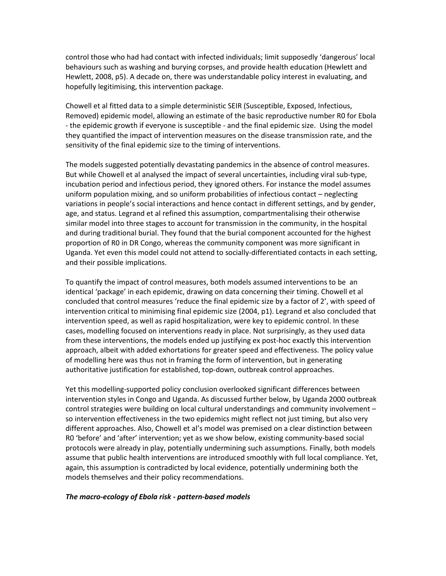control those who had had contact with infected individuals; limit supposedly 'dangerous' local behaviours such as washing and burying corpses, and provide health education (Hewlett and Hewlett, 2008, p5). A decade on, there was understandable policy interest in evaluating, and hopefully legitimising, this intervention package.

Chowell et al fitted data to a simple deterministic SEIR (Susceptible, Exposed, Infectious, Removed) epidemic model, allowing an estimate of the basic reproductive number R0 for Ebola - the epidemic growth if everyone is susceptible - and the final epidemic size. Using the model they quantified the impact of intervention measures on the disease transmission rate, and the sensitivity of the final epidemic size to the timing of interventions.

The models suggested potentially devastating pandemics in the absence of control measures. But while Chowell et al analysed the impact of several uncertainties, including viral sub-type, incubation period and infectious period, they ignored others. For instance the model assumes uniform population mixing, and so uniform probabilities of infectious contact – neglecting variations in people's social interactions and hence contact in different settings, and by gender, age, and status. Legrand et al refined this assumption, compartmentalising their otherwise similar model into three stages to account for transmission in the community, in the hospital and during traditional burial. They found that the burial component accounted for the highest proportion of R0 in DR Congo, whereas the community component was more significant in Uganda. Yet even this model could not attend to socially-differentiated contacts in each setting, and their possible implications.

To quantify the impact of control measures, both models assumed interventions to be an identical 'package' in each epidemic, drawing on data concerning their timing. Chowell et al concluded that control measures 'reduce the final epidemic size by a factor of 2', with speed of intervention critical to minimising final epidemic size (2004, p1). Legrand et also concluded that intervention speed, as well as rapid hospitalization, were key to epidemic control. In these cases, modelling focused on interventions ready in place. Not surprisingly, as they used data from these interventions, the models ended up justifying ex post-hoc exactly this intervention approach, albeit with added exhortations for greater speed and effectiveness. The policy value of modelling here was thus not in framing the form of intervention, but in generating authoritative justification for established, top-down, outbreak control approaches.

Yet this modelling-supported policy conclusion overlooked significant differences between intervention styles in Congo and Uganda. As discussed further below, by Uganda 2000 outbreak control strategies were building on local cultural understandings and community involvement – so intervention effectiveness in the two epidemics might reflect not just timing, but also very different approaches. Also, Chowell et al's model was premised on a clear distinction between R0 'before' and 'after' intervention; yet as we show below, existing community-based social protocols were already in play, potentially undermining such assumptions. Finally, both models assume that public health interventions are introduced smoothly with full local compliance. Yet, again, this assumption is contradicted by local evidence, potentially undermining both the models themselves and their policy recommendations.

#### *The macro-ecology of Ebola risk - pattern-based models*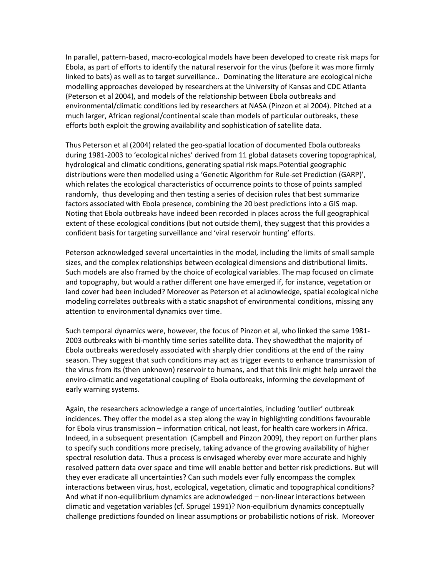In parallel, pattern-based, macro-ecological models have been developed to create risk maps for Ebola, as part of efforts to identify the natural reservoir for the virus (before it was more firmly linked to bats) as well as to target surveillance.. Dominating the literature are ecological niche modelling approaches developed by researchers at the University of Kansas and CDC Atlanta (Peterson et al 2004), and models of the relationship between Ebola outbreaks and environmental/climatic conditions led by researchers at NASA (Pinzon et al 2004). Pitched at a much larger, African regional/continental scale than models of particular outbreaks, these efforts both exploit the growing availability and sophistication of satellite data.

Thus Peterson et al (2004) related the geo-spatial location of documented Ebola outbreaks during 1981-2003 to 'ecological niches' derived from 11 global datasets covering topographical, hydrological and climatic conditions, generating spatial risk maps.Potential geographic distributions were then modelled using a 'Genetic Algorithm for Rule-set Prediction (GARP)', which relates the ecological characteristics of occurrence points to those of points sampled randomly, thus developing and then testing a series of decision rules that best summarize factors associated with Ebola presence, combining the 20 best predictions into a GIS map. Noting that Ebola outbreaks have indeed been recorded in places across the full geographical extent of these ecological conditions (but not outside them), they suggest that this provides a confident basis for targeting surveillance and 'viral reservoir hunting' efforts.

Peterson acknowledged several uncertainties in the model, including the limits of small sample sizes, and the complex relationships between ecological dimensions and distributional limits. Such models are also framed by the choice of ecological variables. The map focused on climate and topography, but would a rather different one have emerged if, for instance, vegetation or land cover had been included? Moreover as Peterson et al acknowledge, spatial ecological niche modeling correlates outbreaks with a static snapshot of environmental conditions, missing any attention to environmental dynamics over time.

Such temporal dynamics were, however, the focus of Pinzon et al, who linked the same 1981- 2003 outbreaks with bi-monthly time series satellite data. They showedthat the majority of Ebola outbreaks wereclosely associated with sharply drier conditions at the end of the rainy season. They suggest that such conditions may act as trigger events to enhance transmission of the virus from its (then unknown) reservoir to humans, and that this link might help unravel the enviro-climatic and vegetational coupling of Ebola outbreaks, informing the development of early warning systems.

Again, the researchers acknowledge a range of uncertainties, including 'outlier' outbreak incidences. They offer the model as a step along the way in highlighting conditions favourable for Ebola virus transmission – information critical, not least, for health care workers in Africa. Indeed, in a subsequent presentation (Campbell and Pinzon 2009), they report on further plans to specify such conditions more precisely, taking advance of the growing availability of higher spectral resolution data. Thus a process is envisaged whereby ever more accurate and highly resolved pattern data over space and time will enable better and better risk predictions. But will they ever eradicate all uncertainties? Can such models ever fully encompass the complex interactions between virus, host, ecological, vegetation, climatic and topographical conditions? And what if non-equilibriium dynamics are acknowledged – non-linear interactions between climatic and vegetation variables (cf. Sprugel 1991)? Non-equilbrium dynamics conceptually challenge predictions founded on linear assumptions or probabilistic notions of risk. Moreover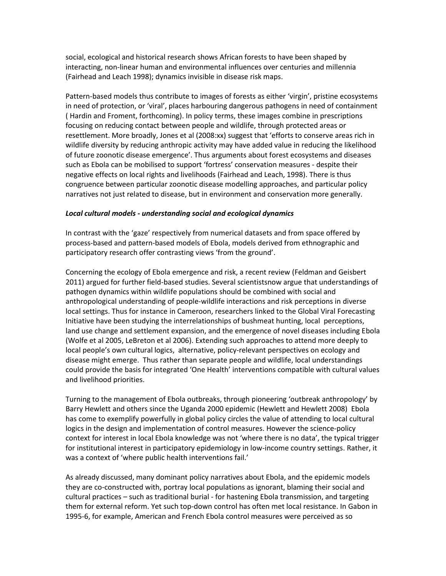social, ecological and historical research shows African forests to have been shaped by interacting, non-linear human and environmental influences over centuries and millennia (Fairhead and Leach 1998); dynamics invisible in disease risk maps.

Pattern-based models thus contribute to images of forests as either 'virgin', pristine ecosystems in need of protection, or 'viral', places harbouring dangerous pathogens in need of containment ( Hardin and Froment, forthcoming). In policy terms, these images combine in prescriptions focusing on reducing contact between people and wildlife, through protected areas or resettlement. More broadly, Jones et al (2008:xx) suggest that 'efforts to conserve areas rich in wildlife diversity by reducing anthropic activity may have added value in reducing the likelihood of future zoonotic disease emergence'. Thus arguments about forest ecosystems and diseases such as Ebola can be mobilised to support 'fortress' conservation measures - despite their negative effects on local rights and livelihoods (Fairhead and Leach, 1998). There is thus congruence between particular zoonotic disease modelling approaches, and particular policy narratives not just related to disease, but in environment and conservation more generally.

#### *Local cultural models - understanding social and ecological dynamics*

In contrast with the 'gaze' respectively from numerical datasets and from space offered by process-based and pattern-based models of Ebola, models derived from ethnographic and participatory research offer contrasting views 'from the ground'.

Concerning the ecology of Ebola emergence and risk, a recent review (Feldman and Geisbert 2011) argued for further field-based studies. Several scientistsnow argue that understandings of pathogen dynamics within wildlife populations should be combined with social and anthropological understanding of people-wildlife interactions and risk perceptions in diverse local settings. Thus for instance in Cameroon, researchers linked to the Global Viral Forecasting Initiative have been studying the interrelationships of bushmeat hunting, local perceptions, land use change and settlement expansion, and the emergence of novel diseases including Ebola (Wolfe et al 2005, LeBreton et al 2006). Extending such approaches to attend more deeply to local people's own cultural logics, alternative, policy-relevant perspectives on ecology and disease might emerge. Thus rather than separate people and wildlife, local understandings could provide the basis for integrated 'One Health' interventions compatible with cultural values and livelihood priorities.

Turning to the management of Ebola outbreaks, through pioneering 'outbreak anthropology' by Barry Hewlett and others since the Uganda 2000 epidemic (Hewlett and Hewlett 2008) Ebola has come to exemplify powerfully in global policy circles the value of attending to local cultural logics in the design and implementation of control measures. However the science-policy context for interest in local Ebola knowledge was not 'where there is no data', the typical trigger for institutional interest in participatory epidemiology in low-income country settings. Rather, it was a context of 'where public health interventions fail.'

As already discussed, many dominant policy narratives about Ebola, and the epidemic models they are co-constructed with, portray local populations as ignorant, blaming their social and cultural practices – such as traditional burial - for hastening Ebola transmission, and targeting them for external reform. Yet such top-down control has often met local resistance. In Gabon in 1995-6, for example, American and French Ebola control measures were perceived as so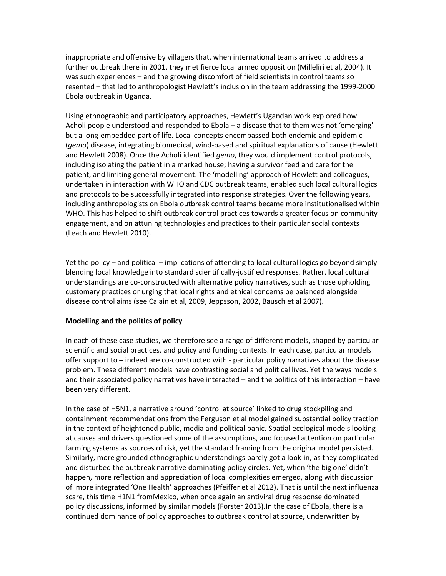inappropriate and offensive by villagers that, when international teams arrived to address a further outbreak there in 2001, they met fierce local armed opposition (Milleliri et al, 2004). It was such experiences – and the growing discomfort of field scientists in control teams so resented – that led to anthropologist Hewlett's inclusion in the team addressing the 1999-2000 Ebola outbreak in Uganda.

Using ethnographic and participatory approaches, Hewlett's Ugandan work explored how Acholi people understood and responded to Ebola – a disease that to them was not 'emerging' but a long-embedded part of life. Local concepts encompassed both endemic and epidemic (*gemo*) disease, integrating biomedical, wind-based and spiritual explanations of cause (Hewlett and Hewlett 2008). Once the Acholi identified *gemo*, they would implement control protocols, including isolating the patient in a marked house; having a survivor feed and care for the patient, and limiting general movement. The 'modelling' approach of Hewlett and colleagues, undertaken in interaction with WHO and CDC outbreak teams, enabled such local cultural logics and protocols to be successfully integrated into response strategies. Over the following years, including anthropologists on Ebola outbreak control teams became more institutionalised within WHO. This has helped to shift outbreak control practices towards a greater focus on community engagement, and on attuning technologies and practices to their particular social contexts (Leach and Hewlett 2010).

Yet the policy – and political – implications of attending to local cultural logics go beyond simply blending local knowledge into standard scientifically-justified responses. Rather, local cultural understandings are co-constructed with alternative policy narratives, such as those upholding customary practices or urging that local rights and ethical concerns be balanced alongside disease control aims (see Calain et al, 2009, Jeppsson, 2002, Bausch et al 2007).

# **Modelling and the politics of policy**

In each of these case studies, we therefore see a range of different models, shaped by particular scientific and social practices, and policy and funding contexts. In each case, particular models offer support to – indeed are co-constructed with - particular policy narratives about the disease problem. These different models have contrasting social and political lives. Yet the ways models and their associated policy narratives have interacted – and the politics of this interaction – have been very different.

In the case of H5N1, a narrative around 'control at source' linked to drug stockpiling and containment recommendations from the Ferguson et al model gained substantial policy traction in the context of heightened public, media and political panic. Spatial ecological models looking at causes and drivers questioned some of the assumptions, and focused attention on particular farming systems as sources of risk, yet the standard framing from the original model persisted. Similarly, more grounded ethnographic understandings barely got a look-in, as they complicated and disturbed the outbreak narrative dominating policy circles. Yet, when 'the big one' didn't happen, more reflection and appreciation of local complexities emerged, along with discussion of more integrated 'One Health' approaches (Pfeiffer et al 2012). That is until the next influenza scare, this time H1N1 fromMexico, when once again an antiviral drug response dominated policy discussions, informed by similar models (Forster 2013).In the case of Ebola, there is a continued dominance of policy approaches to outbreak control at source, underwritten by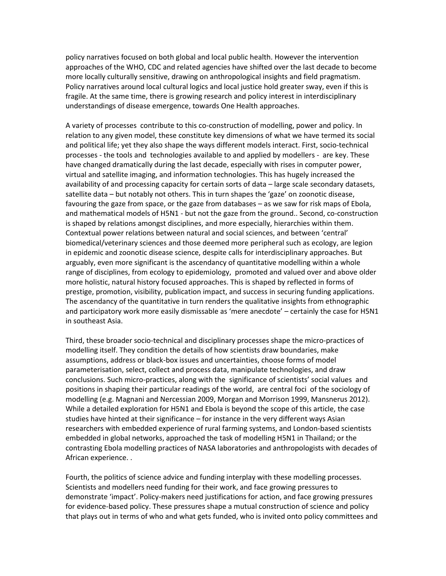policy narratives focused on both global and local public health. However the intervention approaches of the WHO, CDC and related agencies have shifted over the last decade to become more locally culturally sensitive, drawing on anthropological insights and field pragmatism. Policy narratives around local cultural logics and local justice hold greater sway, even if this is fragile. At the same time, there is growing research and policy interest in interdisciplinary understandings of disease emergence, towards One Health approaches.

A variety of processes contribute to this co-construction of modelling, power and policy. In relation to any given model, these constitute key dimensions of what we have termed its social and political life; yet they also shape the ways different models interact. First, socio-technical processes - the tools and technologies available to and applied by modellers - are key. These have changed dramatically during the last decade, especially with rises in computer power, virtual and satellite imaging, and information technologies. This has hugely increased the availability of and processing capacity for certain sorts of data – large scale secondary datasets, satellite data – but notably not others. This in turn shapes the 'gaze' on zoonotic disease, favouring the gaze from space, or the gaze from databases – as we saw for risk maps of Ebola, and mathematical models of H5N1 - but not the gaze from the ground.. Second, co-construction is shaped by relations amongst disciplines, and more especially, hierarchies within them. Contextual power relations between natural and social sciences, and between 'central' biomedical/veterinary sciences and those deemed more peripheral such as ecology, are legion in epidemic and zoonotic disease science, despite calls for interdisciplinary approaches. But arguably, even more significant is the ascendancy of quantitative modelling within a whole range of disciplines, from ecology to epidemiology, promoted and valued over and above older more holistic, natural history focused approaches. This is shaped by reflected in forms of prestige, promotion, visibility, publication impact, and success in securing funding applications. The ascendancy of the quantitative in turn renders the qualitative insights from ethnographic and participatory work more easily dismissable as 'mere anecdote' – certainly the case for H5N1 in southeast Asia.

Third, these broader socio-technical and disciplinary processes shape the micro-practices of modelling itself. They condition the details of how scientists draw boundaries, make assumptions, address or black-box issues and uncertainties, choose forms of model parameterisation, select, collect and process data, manipulate technologies, and draw conclusions. Such micro-practices, along with the significance of scientists' social values and positions in shaping their particular readings of the world, are central foci of the sociology of modelling (e.g. Magnani and Nercessian 2009, Morgan and Morrison 1999, Mansnerus 2012). While a detailed exploration for H5N1 and Ebola is beyond the scope of this article, the case studies have hinted at their significance – for instance in the very different ways Asian researchers with embedded experience of rural farming systems, and London-based scientists embedded in global networks, approached the task of modelling H5N1 in Thailand; or the contrasting Ebola modelling practices of NASA laboratories and anthropologists with decades of African experience. .

Fourth, the politics of science advice and funding interplay with these modelling processes. Scientists and modellers need funding for their work, and face growing pressures to demonstrate 'impact'. Policy-makers need justifications for action, and face growing pressures for evidence-based policy. These pressures shape a mutual construction of science and policy that plays out in terms of who and what gets funded, who is invited onto policy committees and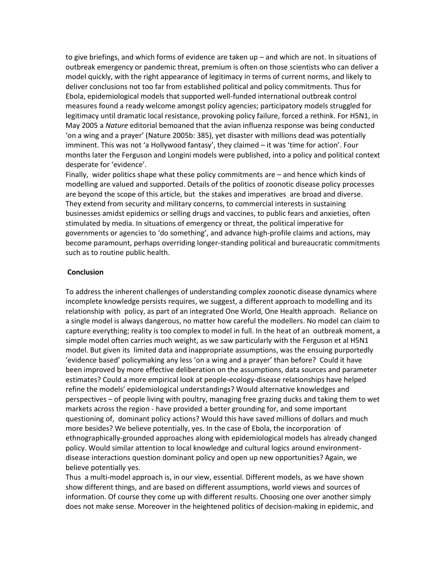to give briefings, and which forms of evidence are taken up – and which are not. In situations of outbreak emergency or pandemic threat, premium is often on those scientists who can deliver a model quickly, with the right appearance of legitimacy in terms of current norms, and likely to deliver conclusions not too far from established political and policy commitments. Thus for Ebola, epidemiological models that supported well-funded international outbreak control measures found a ready welcome amongst policy agencies; participatory models struggled for legitimacy until dramatic local resistance, provoking policy failure, forced a rethink. For H5N1, in May 2005 a *Nature* editorial bemoaned that the avian influenza response was being conducted 'on a wing and a prayer' (Nature 2005b: 385), yet disaster with millions dead was potentially imminent. This was not 'a Hollywood fantasy', they claimed – it was 'time for action'. Four months later the Ferguson and Longini models were published, into a policy and political context desperate for 'evidence'.

Finally, wider politics shape what these policy commitments are – and hence which kinds of modelling are valued and supported. Details of the politics of zoonotic disease policy processes are beyond the scope of this article, but the stakes and imperatives are broad and diverse. They extend from security and military concerns, to commercial interests in sustaining businesses amidst epidemics or selling drugs and vaccines, to public fears and anxieties, often stimulated by media. In situations of emergency or threat, the political imperative for governments or agencies to 'do something', and advance high-profile claims and actions, may become paramount, perhaps overriding longer-standing political and bureaucratic commitments such as to routine public health.

#### **Conclusion**

To address the inherent challenges of understanding complex zoonotic disease dynamics where incomplete knowledge persists requires, we suggest, a different approach to modelling and its relationship with policy, as part of an integrated One World, One Health approach. Reliance on a single model is always dangerous, no matter how careful the modellers. No model can claim to capture everything; reality is too complex to model in full. In the heat of an outbreak moment, a simple model often carries much weight, as we saw particularly with the Ferguson et al H5N1 model. But given its limited data and inappropriate assumptions, was the ensuing purportedly 'evidence based' policymaking any less 'on a wing and a prayer' than before? Could it have been improved by more effective deliberation on the assumptions, data sources and parameter estimates? Could a more empirical look at people-ecology-disease relationships have helped refine the models' epidemiological understandings? Would alternative knowledges and perspectives – of people living with poultry, managing free grazing ducks and taking them to wet markets across the region - have provided a better grounding for, and some important questioning of, dominant policy actions? Would this have saved millions of dollars and much more besides? We believe potentially, yes. In the case of Ebola, the incorporation of ethnographically-grounded approaches along with epidemiological models has already changed policy. Would similar attention to local knowledge and cultural logics around environmentdisease interactions question dominant policy and open up new opportunities? Again, we believe potentially yes.

Thus a multi-model approach is, in our view, essential. Different models, as we have shown show different things, and are based on different assumptions, world views and sources of information. Of course they come up with different results. Choosing one over another simply does not make sense. Moreover in the heightened politics of decision-making in epidemic, and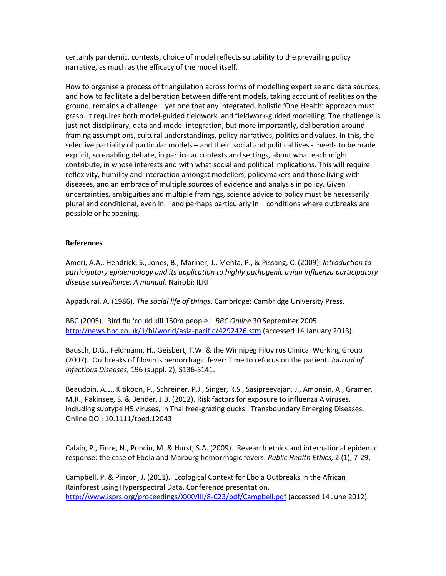certainly pandemic, contexts, choice of model reflects suitability to the prevailing policy narrative, as much as the efficacy of the model itself.

How to organise a process of triangulation across forms of modelling expertise and data sources, and how to facilitate a deliberation between different models, taking account of realities on the ground, remains a challenge – yet one that any integrated, holistic 'One Health' approach must grasp. It requires both model-guided fieldwork and fieldwork-guided modelling. The challenge is just not disciplinary, data and model integration, but more importantly, deliberation around framing assumptions, cultural understandings, policy narratives, politics and values. In this, the selective partiality of particular models – and their social and political lives - needs to be made explicit, so enabling debate, in particular contexts and settings, about what each might contribute, in whose interests and with what social and political implications. This will require reflexivity, humility and interaction amongst modellers, policymakers and those living with diseases, and an embrace of multiple sources of evidence and analysis in policy. Given uncertainties, ambiguities and multiple framings, science advice to policy must be necessarily plural and conditional, even in – and perhaps particularly in – conditions where outbreaks are possible or happening.

# **References**

Ameri, A.A., Hendrick, S., Jones, B., Mariner, J., Mehta, P., & Pissang, C. (2009). *Introduction to participatory epidemiology and its application to highly pathogenic avian influenza participatory disease surveillance: A manual.* Nairobi: ILRI

Appadurai, A. (1986). *The social life of things*. Cambridge: Cambridge University Press.

BBC (2005). Bird flu 'could kill 150m people.' *BBC Online* 30 September 2005 <http://news.bbc.co.uk/1/hi/world/asia-pacific/4292426.stm> (accessed 14 January 2013).

Bausch, D.G., Feldmann, H., Geisbert, T.W. & the Winnipeg Filovirus Clinical Working Group (2007). Outbreaks of filovirus hemorrhagic fever: Time to refocus on the patient. *Journal of Infectious Diseases,* 196 (suppl. 2), S136-S141.

Beaudoin, A.L., Kitikoon, P., Schreiner, P.J., Singer, R.S., Sasipreeyajan, J., Amonsin, A., Gramer, M.R., Pakinsee, S. & Bender, J.B. (2012). Risk factors for exposure to influenza A viruses, including subtype H5 viruses, in Thai free-grazing ducks. Transboundary Emerging Diseases. Online DOI: 10.1111/tbed.12043

Calain, P., Fiore, N., Poncin, M. & Hurst, S.A. (2009). Research ethics and international epidemic response: the case of Ebola and Marburg hemorrhagic fevers. *Public Health Ethics,* 2 (1), 7-29.

Campbell, P. & Pinzon, J. (2011). Ecological Context for Ebola Outbreaks in the African Rainforest using Hyperspectral Data. Conference presentation, <http://www.isprs.org/proceedings/XXXVIII/8-C23/pdf/Campbell.pdf> (accessed 14 June 2012).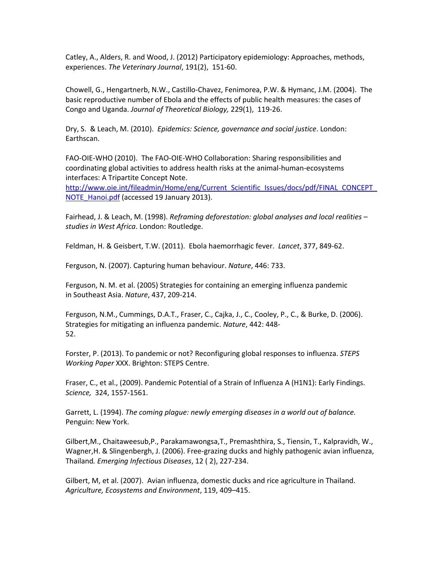Catley, A., Alders, R. and Wood, J. (2012) Participatory epidemiology: Approaches, methods, experiences. *The Veterinary Journal*, 191(2), 151-60.

Chowell, G., Hengartnerb, N.W., Castillo-Chavez, Fenimorea, P.W. & Hymanc, J.M. (2004). The basic reproductive number of Ebola and the effects of public health measures: the cases of Congo and Uganda. *Journal of Theoretical Biology,* 229(1), 119-26.

Dry, S. & Leach, M. (2010). *Epidemics: Science, governance and social justice*. London: Earthscan.

FAO-OIE-WHO (2010). The FAO-OIE-WHO Collaboration: Sharing responsibilities and coordinating global activities to address health risks at the animal-human-ecosystems interfaces: A Tripartite Concept Note.

[http://www.oie.int/fileadmin/Home/eng/Current\\_Scientific\\_Issues/docs/pdf/FINAL\\_CONCEPT\\_](http://www.oie.int/fileadmin/Home/eng/Current_Scientific_Issues/docs/pdf/FINAL_CONCEPT_NOTE_Hanoi.pdf) NOTE Hanoi.pdf (accessed 19 January 2013).

Fairhead, J. & Leach, M. (1998). *Reframing deforestation: global analyses and local realities – studies in West Africa*. London: Routledge.

Feldman, H. & Geisbert, T.W. (2011). Ebola haemorrhagic fever. *Lancet*, 377, 849-62.

Ferguson, N. (2007). Capturing human behaviour. *Nature*, 446: 733.

Ferguson, N. M. et al. (2005) Strategies for containing an emerging influenza pandemic in Southeast Asia. *Nature*, 437, 209-214.

Ferguson, N.M., Cummings, D.A.T., Fraser, C., Cajka, J., C., Cooley, P., C., & Burke, D. (2006). Strategies for mitigating an influenza pandemic. *Nature*, 442: 448- 52.

Forster, P. (2013). To pandemic or not? Reconfiguring global responses to influenza. *STEPS Working Paper* XXX. Brighton: STEPS Centre.

Fraser, C., et al., (2009). Pandemic Potential of a Strain of Influenza A (H1N1): Early Findings. *Science,* 324, 1557-1561.

Garrett, L. (1994). *The coming plague: newly emerging diseases in a world out of balance.* Penguin: New York.

Gilbert,M., Chaitaweesub,P., Parakamawongsa,T., Premashthira, S., Tiensin, T., Kalpravidh, W., Wagner,H. & Slingenbergh, J. (2006). Free-grazing ducks and highly pathogenic avian influenza, Thailand*. Emerging Infectious Diseases*, 12 ( 2), 227-234.

Gilbert, M, et al. (2007). Avian influenza, domestic ducks and rice agriculture in Thailand. *Agriculture, Ecosystems and Environment*, 119, 409–415.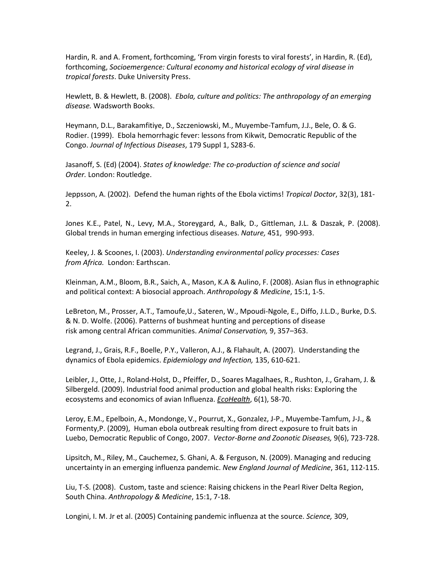Hardin, R. and A. Froment, forthcoming, 'From virgin forests to viral forests', in Hardin, R. (Ed), forthcoming, *Socioemergence: Cultural economy and historical ecology of viral disease in tropical forests*. Duke University Press.

Hewlett, B. & Hewlett, B. (2008). *Ebola, culture and politics: The anthropology of an emerging disease.* Wadsworth Books.

Heymann, D.L., Barakamfitiye, D., Szczeniowski, M., Muyembe-Tamfum, J.J., Bele, O. & G. Rodier. (1999). Ebola hemorrhagic fever: lessons from Kikwit, Democratic Republic of the Congo. *Journal of Infectious Diseases*, 179 Suppl 1, S283-6.

Jasanoff, S. (Ed) (2004). *States of knowledge: The co-production of science and social Order.* London: Routledge.

Jeppsson, A. (2002). Defend the human rights of the Ebola victims! *Tropical Doctor*, 32(3), 181- 2.

Jones K.E., Patel, N., Levy, M.A., Storeygard, A., Balk, D., Gittleman, J.L. & Daszak, P. (2008). Global trends in human emerging infectious diseases. *Nature,* 451, 990-993.

Keeley, J. & Scoones, I. (2003). *Understanding environmental policy processes: Cases from Africa.* London: Earthscan.

Kleinman, A.M., Bloom, B.R., Saich, A., Mason, K.A & Aulino, F. (2008). Asian flus in ethnographic and political context: A biosocial approach. *Anthropology & Medicine*, 15:1, 1-5.

LeBreton, M., Prosser, A.T., Tamoufe,U., Sateren, W., Mpoudi-Ngole, E., Diffo, J.L.D., Burke, D.S. & N. D. Wolfe. (2006). Patterns of bushmeat hunting and perceptions of disease risk among central African communities. *Animal Conservation,* 9, 357–363.

Legrand, J., Grais, R.F., Boelle, P.Y., Valleron, A.J., & Flahault, A. (2007). Understanding the dynamics of Ebola epidemics. *Epidemiology and Infection,* 135, 610-621.

Leibler, J., Otte, J., Roland-Holst, D., Pfeiffer, D., Soares Magalhaes, R., Rushton, J., Graham, J. & Silbergeld. (2009). Industrial food animal production and global health risks: Exploring the ecosystems and economics of avian Influenza. *[EcoHealth](http://link.springer.com/journal/10393)*, 6(1), 58-70.

Leroy, E.M., Epelboin, A., Mondonge, V., Pourrut, X., Gonzalez, J-P., Muyembe-Tamfum, J-J., & Formenty,P. (2009), Human ebola outbreak resulting from direct exposure to fruit bats in Luebo, Democratic Republic of Congo, 2007. *Vector-Borne and Zoonotic Diseases,* 9(6), 723-728.

Lipsitch, M., Riley, M., Cauchemez, S. Ghani, A. & Ferguson, N. (2009). Managing and reducing uncertainty in an emerging influenza pandemic. *New England Journal of Medicine*, 361, 112-115.

Liu, T-S. (2008). Custom, taste and science: Raising chickens in the Pearl River Delta Region, South China. *Anthropology & Medicine*, 15:1, 7-18.

Longini, I. M. Jr et al. (2005) Containing pandemic influenza at the source. *Science,* 309,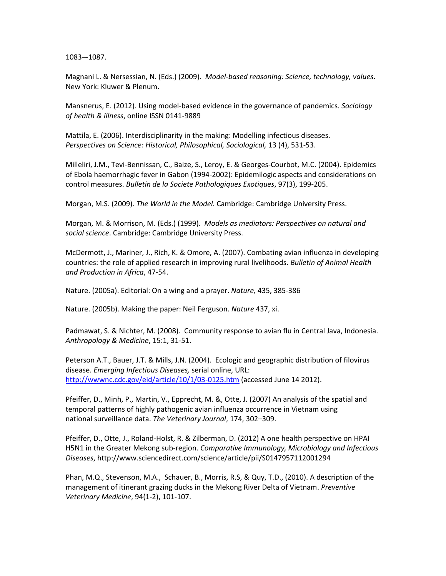1083–-1087.

Magnani L. & Nersessian, N. (Eds.) (2009). *Model-based reasoning: Science, technology, values*. New York: Kluwer & Plenum.

Mansnerus, E. (2012). Using model-based evidence in the governance of pandemics. *Sociology of health & illness*, online ISSN 0141-9889

Mattila, E. (2006). Interdisciplinarity in the making: Modelling infectious diseases. *Perspectives on Science: Historical, Philosophical, Sociological,* 13 (4), 531-53.

Milleliri, J.M., Tevi-Bennissan, C., Baize, S., Leroy, E. & Georges-Courbot, M.C. (2004). Epidemics of Ebola haemorrhagic fever in Gabon (1994-2002): Epidemilogic aspects and considerations on control measures. *Bulletin de la Societe Pathologiques Exotiques*, 97(3), 199-205.

Morgan, M.S. (2009). *The World in the Model.* Cambridge: Cambridge University Press.

Morgan, M. & Morrison, M. (Eds.) (1999). *Models as mediators: Perspectives on natural and social science*. Cambridge: Cambridge University Press.

McDermott, J., Mariner, J., Rich, K. & Omore, A. (2007). Combating avian influenza in developing countries: the role of applied research in improving rural livelihoods. *Bulletin of Animal Health and Production in Africa*, 47-54.

Nature. (2005a). Editorial: On a wing and a prayer. *Nature,* 435, 385-386

Nature. (2005b). Making the paper: Neil Ferguson. *Nature* 437, xi.

Padmawat, S. & Nichter, M. (2008). Community response to avian flu in Central Java, Indonesia. *Anthropology & Medicine*, 15:1, 31-51.

Peterson A.T., Bauer, J.T. & Mills, J.N. (2004). Ecologic and geographic distribution of filovirus disease. *Emerging Infectious Diseases,* serial online, URL: <http://wwwnc.cdc.gov/eid/article/10/1/03-0125.htm> (accessed June 14 2012).

Pfeiffer, D., Minh, P., Martin, V., Epprecht, M. &, Otte, J. (2007) An analysis of the spatial and temporal patterns of highly pathogenic avian influenza occurrence in Vietnam using national surveillance data. *The Veterinary Journal*, 174, 302–309.

Pfeiffer, D., Otte, J., Roland-Holst, R. & Zilberman, D. (2012) A one health perspective on HPAI H5N1 in the Greater Mekong sub-region. *Comparative Immunology, Microbiology and Infectious Diseases*, http://www.sciencedirect.com/science/article/pii/S0147957112001294

Phan, M.Q., Stevenson, M.A., Schauer, B., Morris, R.S, & Quy, T.D., (2010). A description of the management of itinerant grazing ducks in the Mekong River Delta of Vietnam. *Preventive Veterinary Medicine*, 94(1-2), 101-107.